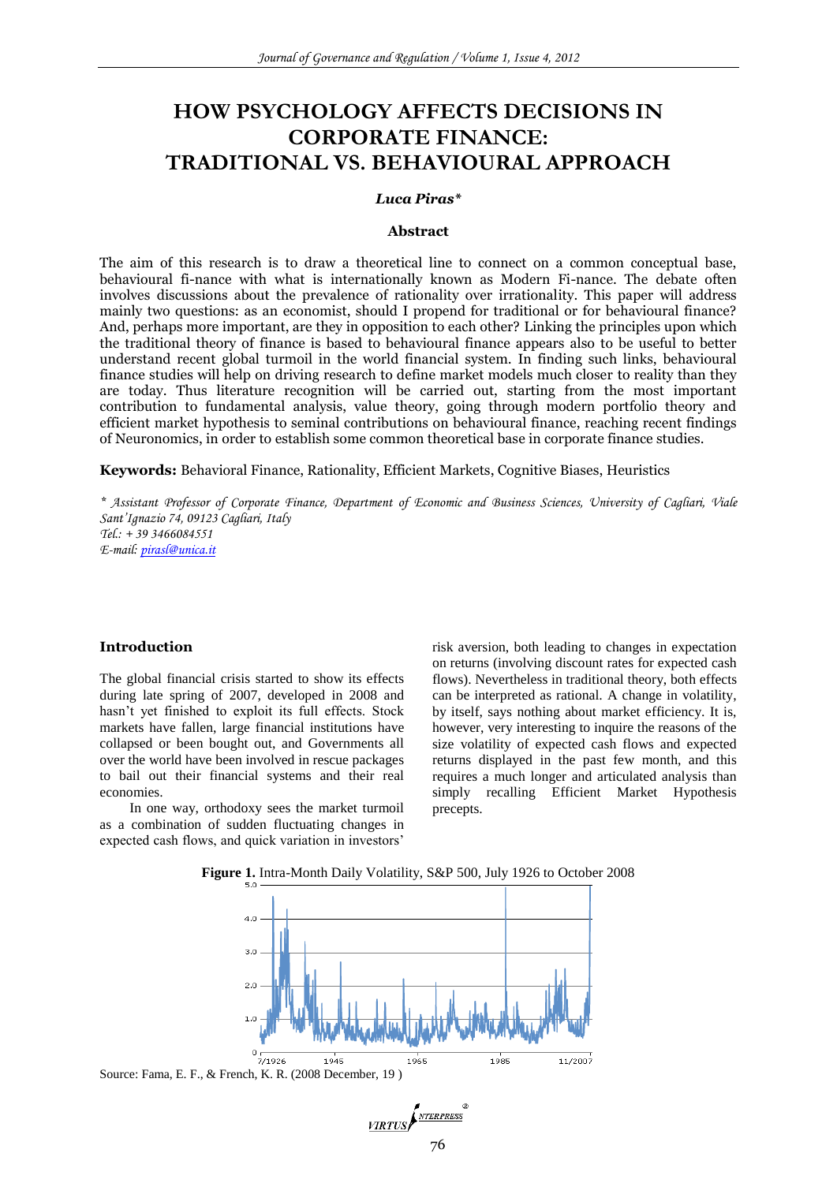# **HOW PSYCHOLOGY AFFECTS DECISIONS IN CORPORATE FINANCE: TRADITIONAL VS. BEHAVIOURAL APPROACH**

#### *Luca Piras\**

#### **Abstract**

The aim of this research is to draw a theoretical line to connect on a common conceptual base, behavioural fi-nance with what is internationally known as Modern Fi-nance. The debate often involves discussions about the prevalence of rationality over irrationality. This paper will address mainly two questions: as an economist, should I propend for traditional or for behavioural finance? And, perhaps more important, are they in opposition to each other? Linking the principles upon which the traditional theory of finance is based to behavioural finance appears also to be useful to better understand recent global turmoil in the world financial system. In finding such links, behavioural finance studies will help on driving research to define market models much closer to reality than they are today. Thus literature recognition will be carried out, starting from the most important contribution to fundamental analysis, value theory, going through modern portfolio theory and efficient market hypothesis to seminal contributions on behavioural finance, reaching recent findings of Neuronomics, in order to establish some common theoretical base in corporate finance studies.

**Keywords:** Behavioral Finance, Rationality, Efficient Markets, Cognitive Biases, Heuristics

*\* Assistant Professor of Corporate Finance, Department of Economic and Business Sciences, University of Cagliari, Viale Sant'Ignazio 74, 09123 Cagliari, Italy Tel.: + 39 3466084551 E-mail: [pirasl@unica.it](mailto:pirasl@unica.it)*

#### **Introduction**

The global financial crisis started to show its effects during late spring of 2007, developed in 2008 and hasn't yet finished to exploit its full effects. Stock markets have fallen, large financial institutions have collapsed or been bought out, and Governments all over the world have been involved in rescue packages to bail out their financial systems and their real economies.

In one way, orthodoxy sees the market turmoil as a combination of sudden fluctuating changes in expected cash flows, and quick variation in investors'

risk aversion, both leading to changes in expectation on returns (involving discount rates for expected cash flows). Nevertheless in traditional theory, both effects can be interpreted as rational. A change in volatility, by itself, says nothing about market efficiency. It is, however, very interesting to inquire the reasons of the size volatility of expected cash flows and expected returns displayed in the past few month, and this requires a much longer and articulated analysis than simply recalling Efficient Market Hypothesis precepts.



**Figure 1.** Intra-Month Daily Volatility, S&P 500, July 1926 to October 2008

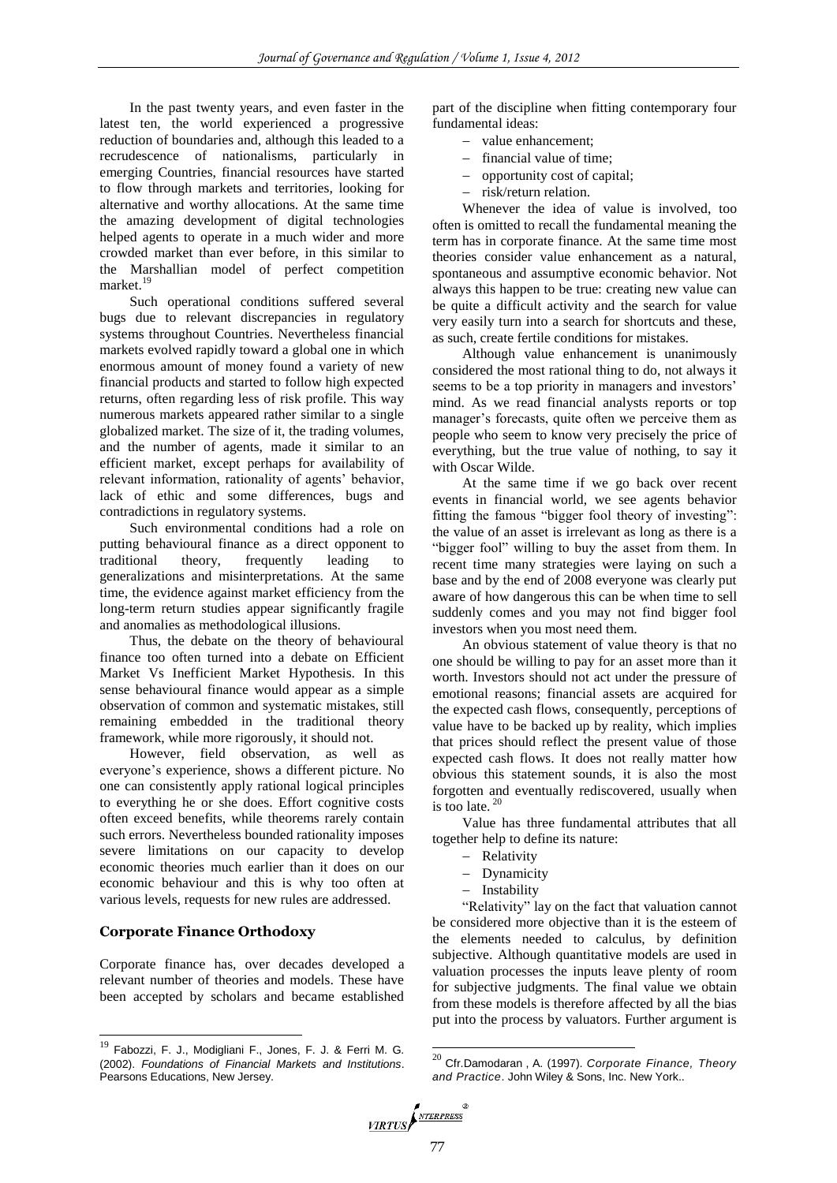In the past twenty years, and even faster in the latest ten, the world experienced a progressive reduction of boundaries and, although this leaded to a recrudescence of nationalisms, particularly in emerging Countries, financial resources have started to flow through markets and territories, looking for alternative and worthy allocations. At the same time the amazing development of digital technologies helped agents to operate in a much wider and more crowded market than ever before, in this similar to the Marshallian model of perfect competition market.<sup>19</sup>

Such operational conditions suffered several bugs due to relevant discrepancies in regulatory systems throughout Countries. Nevertheless financial markets evolved rapidly toward a global one in which enormous amount of money found a variety of new financial products and started to follow high expected returns, often regarding less of risk profile. This way numerous markets appeared rather similar to a single globalized market. The size of it, the trading volumes, and the number of agents, made it similar to an efficient market, except perhaps for availability of relevant information, rationality of agents' behavior, lack of ethic and some differences, bugs and contradictions in regulatory systems.

Such environmental conditions had a role on putting behavioural finance as a direct opponent to traditional theory, frequently leading to generalizations and misinterpretations. At the same time, the evidence against market efficiency from the long-term return studies appear significantly fragile and anomalies as methodological illusions.

Thus, the debate on the theory of behavioural finance too often turned into a debate on Efficient Market Vs Inefficient Market Hypothesis. In this sense behavioural finance would appear as a simple observation of common and systematic mistakes, still remaining embedded in the traditional theory framework, while more rigorously, it should not.

However, field observation, as well as everyone's experience, shows a different picture. No one can consistently apply rational logical principles to everything he or she does. Effort cognitive costs often exceed benefits, while theorems rarely contain such errors. Nevertheless bounded rationality imposes severe limitations on our capacity to develop economic theories much earlier than it does on our economic behaviour and this is why too often at various levels, requests for new rules are addressed.

#### **Corporate Finance Orthodoxy**

l

Corporate finance has, over decades developed a relevant number of theories and models. These have been accepted by scholars and became established

part of the discipline when fitting contemporary four fundamental ideas:

- value enhancement;
- financial value of time;
- opportunity cost of capital;
- risk/return relation.

Whenever the idea of value is involved, too often is omitted to recall the fundamental meaning the term has in corporate finance. At the same time most theories consider value enhancement as a natural, spontaneous and assumptive economic behavior. Not always this happen to be true: creating new value can be quite a difficult activity and the search for value very easily turn into a search for shortcuts and these, as such, create fertile conditions for mistakes.

Although value enhancement is unanimously considered the most rational thing to do, not always it seems to be a top priority in managers and investors' mind. As we read financial analysts reports or top manager's forecasts, quite often we perceive them as people who seem to know very precisely the price of everything, but the true value of nothing, to say it with Oscar Wilde.

At the same time if we go back over recent events in financial world, we see agents behavior fitting the famous "bigger fool theory of investing": the value of an asset is irrelevant as long as there is a "bigger fool" willing to buy the asset from them. In recent time many strategies were laying on such a base and by the end of 2008 everyone was clearly put aware of how dangerous this can be when time to sell suddenly comes and you may not find bigger fool investors when you most need them.

An obvious statement of value theory is that no one should be willing to pay for an asset more than it worth. Investors should not act under the pressure of emotional reasons; financial assets are acquired for the expected cash flows, consequently, perceptions of value have to be backed up by reality, which implies that prices should reflect the present value of those expected cash flows. It does not really matter how obvious this statement sounds, it is also the most forgotten and eventually rediscovered, usually when is too late.  $2<sup>o</sup>$ 

Value has three fundamental attributes that all together help to define its nature:

- Relativity
- Dynamicity
- Instability

"Relativity" lay on the fact that valuation cannot be considered more objective than it is the esteem of the elements needed to calculus, by definition subjective. Although quantitative models are used in valuation processes the inputs leave plenty of room for subjective judgments. The final value we obtain from these models is therefore affected by all the bias put into the process by valuators. Further argument is

<sup>20</sup> Cfr.Damodaran , A. (1997). *Corporate Finance, Theory and Practice*. John Wiley & Sons, Inc. New York..



<sup>19</sup> Fabozzi, F. J., Modigliani F., Jones, F. J. & Ferri M. G*.*  (2002). *Foundations of Financial Markets and Institutions*. Pearsons Educations, New Jersey.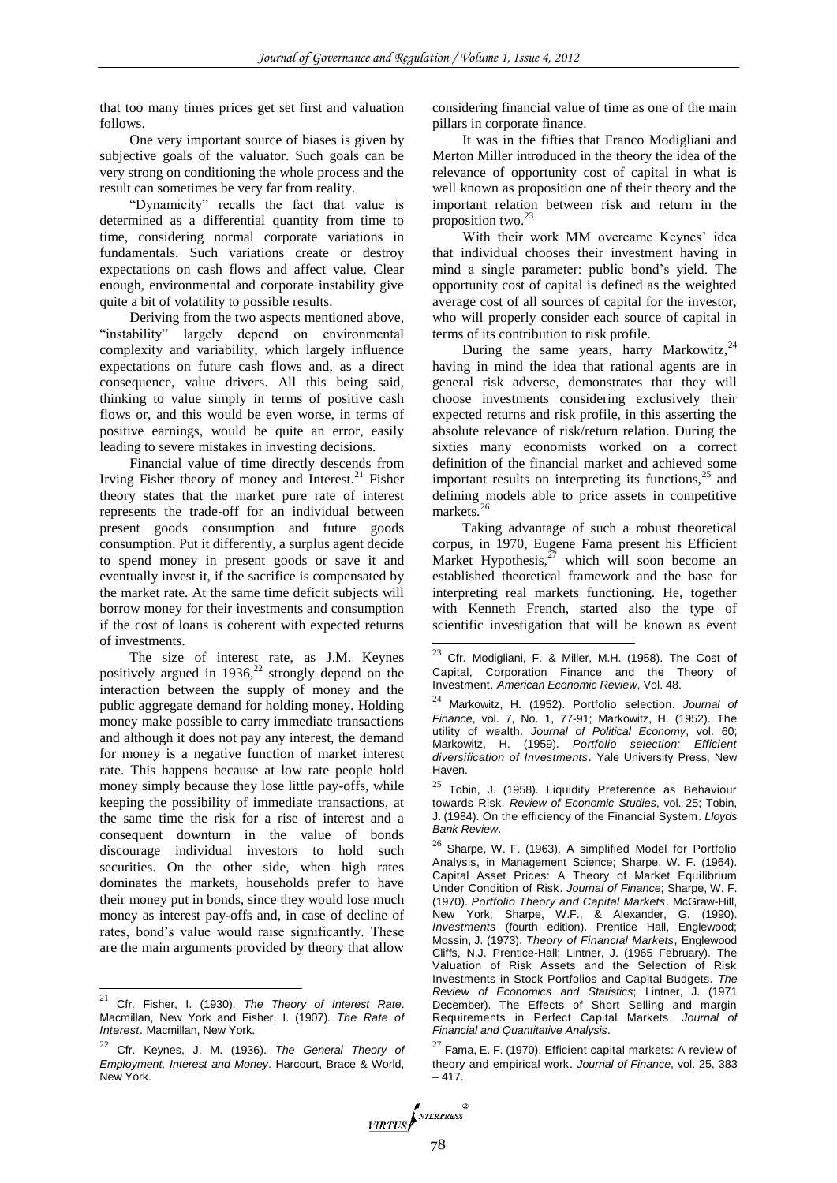that too many times prices get set first and valuation follows.

One very important source of biases is given by subjective goals of the valuator. Such goals can be very strong on conditioning the whole process and the result can sometimes be very far from reality.

"Dynamicity" recalls the fact that value is determined as a differential quantity from time to time, considering normal corporate variations in fundamentals. Such variations create or destroy expectations on cash flows and affect value. Clear enough, environmental and corporate instability give quite a bit of volatility to possible results.

Deriving from the two aspects mentioned above, "instability" largely depend on environmental complexity and variability, which largely influence expectations on future cash flows and, as a direct consequence, value drivers. All this being said, thinking to value simply in terms of positive cash flows or, and this would be even worse, in terms of positive earnings, would be quite an error, easily leading to severe mistakes in investing decisions.

Financial value of time directly descends from Irving Fisher theory of money and Interest.<sup>21</sup> Fisher theory states that the market pure rate of interest represents the trade-off for an individual between present goods consumption and future goods consumption. Put it differently, a surplus agent decide to spend money in present goods or save it and eventually invest it, if the sacrifice is compensated by the market rate. At the same time deficit subjects will borrow money for their investments and consumption if the cost of loans is coherent with expected returns of investments.

The size of interest rate, as J.M. Keynes positively argued in  $1936$ ,<sup>22</sup> strongly depend on the interaction between the supply of money and the public aggregate demand for holding money. Holding money make possible to carry immediate transactions and although it does not pay any interest, the demand for money is a negative function of market interest rate. This happens because at low rate people hold money simply because they lose little pay-offs, while keeping the possibility of immediate transactions, at the same time the risk for a rise of interest and a consequent downturn in the value of bonds discourage individual investors to hold such securities. On the other side, when high rates dominates the markets, households prefer to have their money put in bonds, since they would lose much money as interest pay-offs and, in case of decline of rates, bond's value would raise significantly. These are the main arguments provided by theory that allow

 $\overline{a}$ 

considering financial value of time as one of the main pillars in corporate finance.

It was in the fifties that Franco Modigliani and Merton Miller introduced in the theory the idea of the relevance of opportunity cost of capital in what is well known as proposition one of their theory and the important relation between risk and return in the proposition two. $2<sup>3</sup>$ 

With their work MM overcame Keynes' idea that individual chooses their investment having in mind a single parameter: public bond's yield. The opportunity cost of capital is defined as the weighted average cost of all sources of capital for the investor, who will properly consider each source of capital in terms of its contribution to risk profile.

During the same years, harry Markowitz,<sup>24</sup> having in mind the idea that rational agents are in general risk adverse, demonstrates that they will choose investments considering exclusively their expected returns and risk profile, in this asserting the absolute relevance of risk/return relation. During the sixties many economists worked on a correct definition of the financial market and achieved some important results on interpreting its functions, $25$  and defining models able to price assets in competitive markets.<sup>26</sup>

Taking advantage of such a robust theoretical corpus, in 1970, Eugene Fama present his Efficient Market Hypothesis, $27$  which will soon become an established theoretical framework and the base for interpreting real markets functioning. He, together with Kenneth French, started also the type of scientific investigation that will be known as event

 $27$  Fama, E. F. (1970). Efficient capital markets: A review of theory and empirical work. *Journal of Finance*, vol. 25, 383  $-417.$ 



<sup>21</sup> Cfr. Fisher, I. (1930). *The Theory of Interest Rate*. Macmillan, New York and Fisher, I. (1907). *The Rate of Interest*. Macmillan, New York.

<sup>22</sup> Cfr. Keynes, J. M. (1936). *The General Theory of Employment, Interest and Money*. Harcourt, Brace & World, New York.

<sup>23</sup> Cfr. Modigliani, F. & Miller, M.H. (1958). The Cost of Capital, Corporation Finance and the Theory of Investment. *American Economic Review*, Vol. 48.

<sup>24</sup> Markowitz, H. (1952). Portfolio selection. *Journal of Finance*, vol. 7, No. 1, 77-91; Markowitz, H. (1952). The utility of wealth. *Journal of Political Economy*, vol. 60; Markowitz, H. (1959). *Portfolio selection: Efficient diversification of Investments*. Yale University Press, New Haven.

 $25$  Tobin, J. (1958). Liquidity Preference as Behaviour towards Risk. *Review of Economic Studies*, vol. 25; Tobin, J. (1984). On the efficiency of the Financial System. *Lloyds Bank Review*.

Sharpe, W. F. (1963). A simplified Model for Portfolio Analysis, in Management Science; Sharpe, W. F. (1964). Capital Asset Prices: A Theory of Market Equilibrium Under Condition of Risk. *Journal of Finance*; Sharpe, W. F. (1970). *Portfolio Theory and Capital Markets*. McGraw-Hill, New York; Sharpe, W.F., & Alexander, G. (1990). *Investments* (fourth edition). Prentice Hall, Englewood; Mossin, J. (1973). *Theory of Financial Markets*, Englewood Cliffs, N.J. Prentice-Hall; Lintner, J. (1965 February). The Valuation of Risk Assets and the Selection of Risk Investments in Stock Portfolios and Capital Budgets. *The Review of Economics and Statistics*; Lintner, J. (1971 December). The Effects of Short Selling and margin Requirements in Perfect Capital Markets. *Journal of Financial and Quantitative Analysis*.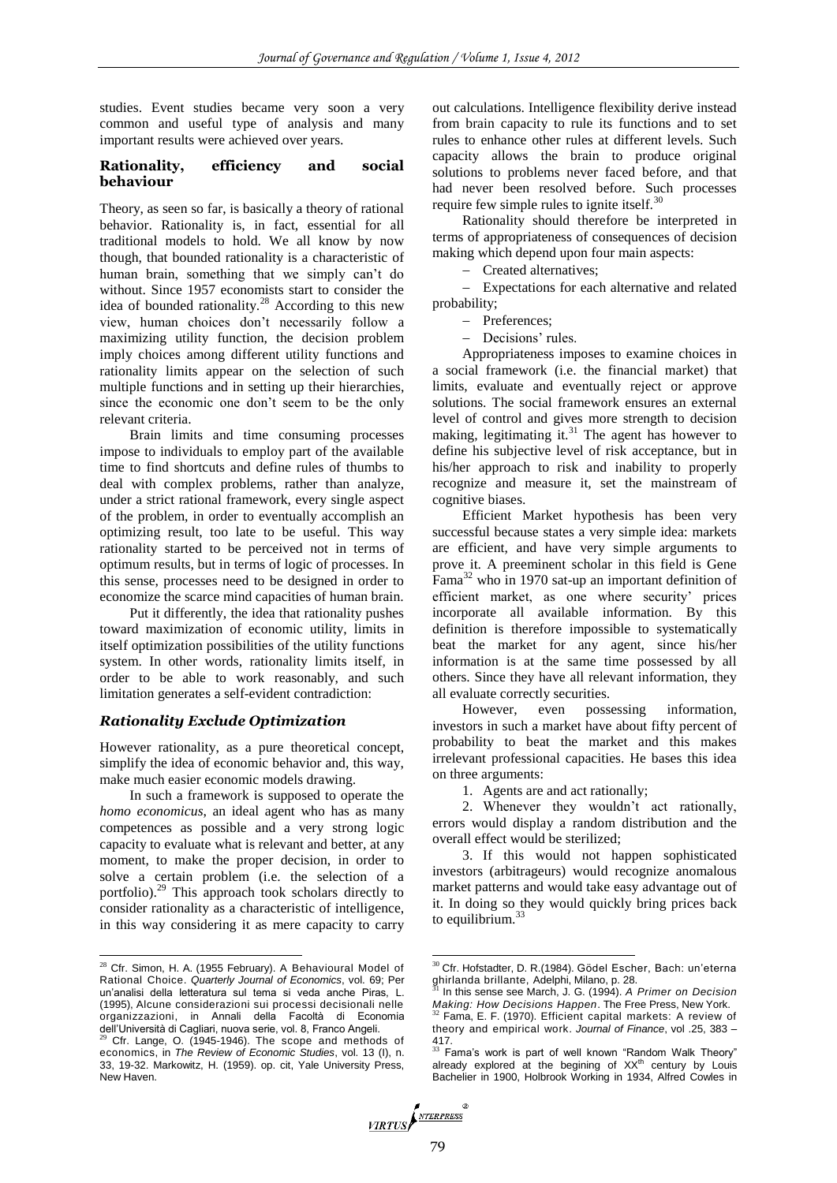studies. Event studies became very soon a very common and useful type of analysis and many important results were achieved over years.

#### **Rationality, efficiency and social behaviour**

Theory, as seen so far, is basically a theory of rational behavior. Rationality is, in fact, essential for all traditional models to hold. We all know by now though, that bounded rationality is a characteristic of human brain, something that we simply can't do without. Since 1957 economists start to consider the idea of bounded rationality. $28$  According to this new view, human choices don't necessarily follow a maximizing utility function, the decision problem imply choices among different utility functions and rationality limits appear on the selection of such multiple functions and in setting up their hierarchies, since the economic one don't seem to be the only relevant criteria.

Brain limits and time consuming processes impose to individuals to employ part of the available time to find shortcuts and define rules of thumbs to deal with complex problems, rather than analyze, under a strict rational framework, every single aspect of the problem, in order to eventually accomplish an optimizing result, too late to be useful. This way rationality started to be perceived not in terms of optimum results, but in terms of logic of processes. In this sense, processes need to be designed in order to economize the scarce mind capacities of human brain.

Put it differently, the idea that rationality pushes toward maximization of economic utility, limits in itself optimization possibilities of the utility functions system. In other words, rationality limits itself, in order to be able to work reasonably, and such limitation generates a self-evident contradiction:

#### *Rationality Exclude Optimization*

However rationality, as a pure theoretical concept, simplify the idea of economic behavior and, this way, make much easier economic models drawing.

In such a framework is supposed to operate the *homo economicus*, an ideal agent who has as many competences as possible and a very strong logic capacity to evaluate what is relevant and better, at any moment, to make the proper decision, in order to solve a certain problem (i.e. the selection of a portfolio).<sup>29</sup> This approach took scholars directly to consider rationality as a characteristic of intelligence, in this way considering it as mere capacity to carry

 $\overline{a}$ 

out calculations. Intelligence flexibility derive instead from brain capacity to rule its functions and to set rules to enhance other rules at different levels. Such capacity allows the brain to produce original solutions to problems never faced before, and that had never been resolved before. Such processes require few simple rules to ignite itself. $30$ 

Rationality should therefore be interpreted in terms of appropriateness of consequences of decision making which depend upon four main aspects:

- Created alternatives;

 Expectations for each alternative and related probability;

- Preferences:
- Decisions' rules.

Appropriateness imposes to examine choices in a social framework (i.e. the financial market) that limits, evaluate and eventually reject or approve solutions. The social framework ensures an external level of control and gives more strength to decision making, legitimating it. $31$  The agent has however to define his subjective level of risk acceptance, but in his/her approach to risk and inability to properly recognize and measure it, set the mainstream of cognitive biases.

Efficient Market hypothesis has been very successful because states a very simple idea: markets are efficient, and have very simple arguments to prove it. A preeminent scholar in this field is Gene  $Fama<sup>32</sup>$  who in 1970 sat-up an important definition of efficient market, as one where security' prices incorporate all available information. By this definition is therefore impossible to systematically beat the market for any agent, since his/her information is at the same time possessed by all others. Since they have all relevant information, they all evaluate correctly securities.

However, even possessing information, investors in such a market have about fifty percent of probability to beat the market and this makes irrelevant professional capacities. He bases this idea on three arguments:

2. Whenever they wouldn't act rationally, errors would display a random distribution and the overall effect would be sterilized;

3. If this would not happen sophisticated investors (arbitrageurs) would recognize anomalous market patterns and would take easy advantage out of it. In doing so they would quickly bring prices back to equilibrium. $33$ 

 $28$  Cfr. Simon, H. A. (1955 February). A Behavioural Model of Rational Choice. *Quarterly Journal of Economics*, vol. 69; Per un'analisi della letteratura sul tema si veda anche Piras, L. (1995), Alcune considerazioni sui processi decisionali nelle organizzazioni, in Annali della Facoltà di Economia dell'Università di Cagliari, nuova serie, vol. 8, Franco Angeli.

Cfr. Lange, O. (1945-1946). The scope and methods of economics, in *The Review of Economic Studies*, vol. 13 (I), n. 33, 19-32. Markowitz, H. (1959). op. cit, Yale University Press, New Haven.

<sup>1.</sup> Agents are and act rationally;

<sup>30</sup> Cfr. Hofstadter, D. R.(1984). Gödel Escher, Bach: un'eterna ghirlanda brillante, Adelphi, Milano, p. 28.

<sup>31</sup> In this sense see March, J. G. (1994). *A Primer on Decision Making: How Decisions Happen*. The Free Press, New York. <sup>32</sup> Fama, E. F. (1970). Efficient capital markets: A review of

theory and empirical work. *Journal of Finance*, vol .25, 383 – 417.<br><sup>33</sup> Fama's work is part of well known "Random Walk Theory"

already explored at the begining of  $XX<sup>th</sup>$  century by Louis Bachelier in 1900, Holbrook Working in 1934, Alfred Cowles in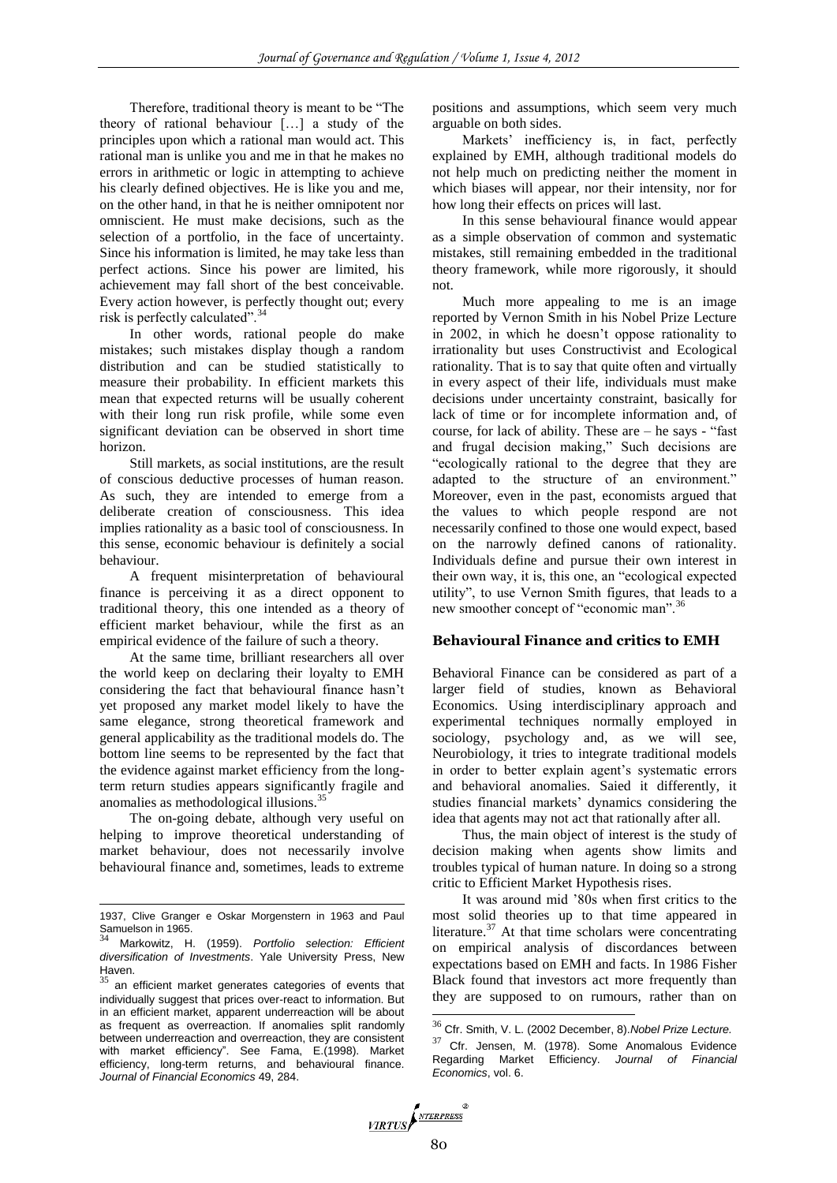Therefore, traditional theory is meant to be "The theory of rational behaviour […] a study of the principles upon which a rational man would act. This rational man is unlike you and me in that he makes no errors in arithmetic or logic in attempting to achieve his clearly defined objectives. He is like you and me, on the other hand, in that he is neither omnipotent nor omniscient. He must make decisions, such as the selection of a portfolio, in the face of uncertainty. Since his information is limited, he may take less than perfect actions. Since his power are limited, his achievement may fall short of the best conceivable. Every action however, is perfectly thought out; every risk is perfectly calculated".<sup>34</sup>

In other words, rational people do make mistakes; such mistakes display though a random distribution and can be studied statistically to measure their probability. In efficient markets this mean that expected returns will be usually coherent with their long run risk profile, while some even significant deviation can be observed in short time horizon.

Still markets, as social institutions, are the result of conscious deductive processes of human reason. As such, they are intended to emerge from a deliberate creation of consciousness. This idea implies rationality as a basic tool of consciousness. In this sense, economic behaviour is definitely a social behaviour.

A frequent misinterpretation of behavioural finance is perceiving it as a direct opponent to traditional theory, this one intended as a theory of efficient market behaviour, while the first as an empirical evidence of the failure of such a theory.

At the same time, brilliant researchers all over the world keep on declaring their loyalty to EMH considering the fact that behavioural finance hasn't yet proposed any market model likely to have the same elegance, strong theoretical framework and general applicability as the traditional models do. The bottom line seems to be represented by the fact that the evidence against market efficiency from the longterm return studies appears significantly fragile and anomalies as methodological illusions.<sup>35</sup>

The on-going debate, although very useful on helping to improve theoretical understanding of market behaviour, does not necessarily involve behavioural finance and, sometimes, leads to extreme

 $\overline{a}$ 

positions and assumptions, which seem very much arguable on both sides.

Markets' inefficiency is, in fact, perfectly explained by EMH, although traditional models do not help much on predicting neither the moment in which biases will appear, nor their intensity, nor for how long their effects on prices will last.

In this sense behavioural finance would appear as a simple observation of common and systematic mistakes, still remaining embedded in the traditional theory framework, while more rigorously, it should not.

Much more appealing to me is an image reported by Vernon Smith in his Nobel Prize Lecture in 2002, in which he doesn't oppose rationality to irrationality but uses Constructivist and Ecological rationality. That is to say that quite often and virtually in every aspect of their life, individuals must make decisions under uncertainty constraint, basically for lack of time or for incomplete information and, of course, for lack of ability. These are – he says - "fast and frugal decision making," Such decisions are "ecologically rational to the degree that they are adapted to the structure of an environment." Moreover, even in the past, economists argued that the values to which people respond are not necessarily confined to those one would expect, based on the narrowly defined canons of rationality. Individuals define and pursue their own interest in their own way, it is, this one, an "ecological expected utility", to use Vernon Smith figures, that leads to a new smoother concept of "economic man".<sup>36</sup>

## **Behavioural Finance and critics to EMH**

Behavioral Finance can be considered as part of a larger field of studies, known as Behavioral Economics. Using interdisciplinary approach and experimental techniques normally employed in sociology, psychology and, as we will see, Neurobiology, it tries to integrate traditional models in order to better explain agent's systematic errors and behavioral anomalies. Saied it differently, it studies financial markets' dynamics considering the idea that agents may not act that rationally after all.

Thus, the main object of interest is the study of decision making when agents show limits and troubles typical of human nature. In doing so a strong critic to Efficient Market Hypothesis rises.

It was around mid '80s when first critics to the most solid theories up to that time appeared in literature. $37$  At that time scholars were concentrating on empirical analysis of discordances between expectations based on EMH and facts. In 1986 Fisher Black found that investors act more frequently than they are supposed to on rumours, rather than on

<sup>&</sup>lt;sup>37</sup> Cfr. Jensen, M. (1978). Some Anomalous Evidence Regarding Market Efficiency. *Journal of Financial Economics*, vol. 6.



<sup>1937,</sup> Clive Granger e Oskar Morgenstern in 1963 and Paul Samuelson in 1965.

<sup>34</sup> Markowitz, H. (1959). *Portfolio selection: Efficient diversification of Investments*. Yale University Press, New Haven.

an efficient market generates categories of events that individually suggest that prices over-react to information. But in an efficient market, apparent underreaction will be about as frequent as overreaction. If anomalies split randomly between underreaction and overreaction, they are consistent with market efficiency". See Fama, E.(1998). Market efficiency, long-term returns, and behavioural finance. *Journal of Financial Economics* 49, 284.

<sup>36</sup> Cfr. Smith, V. L. (2002 December, 8).*Nobel Prize Lecture.*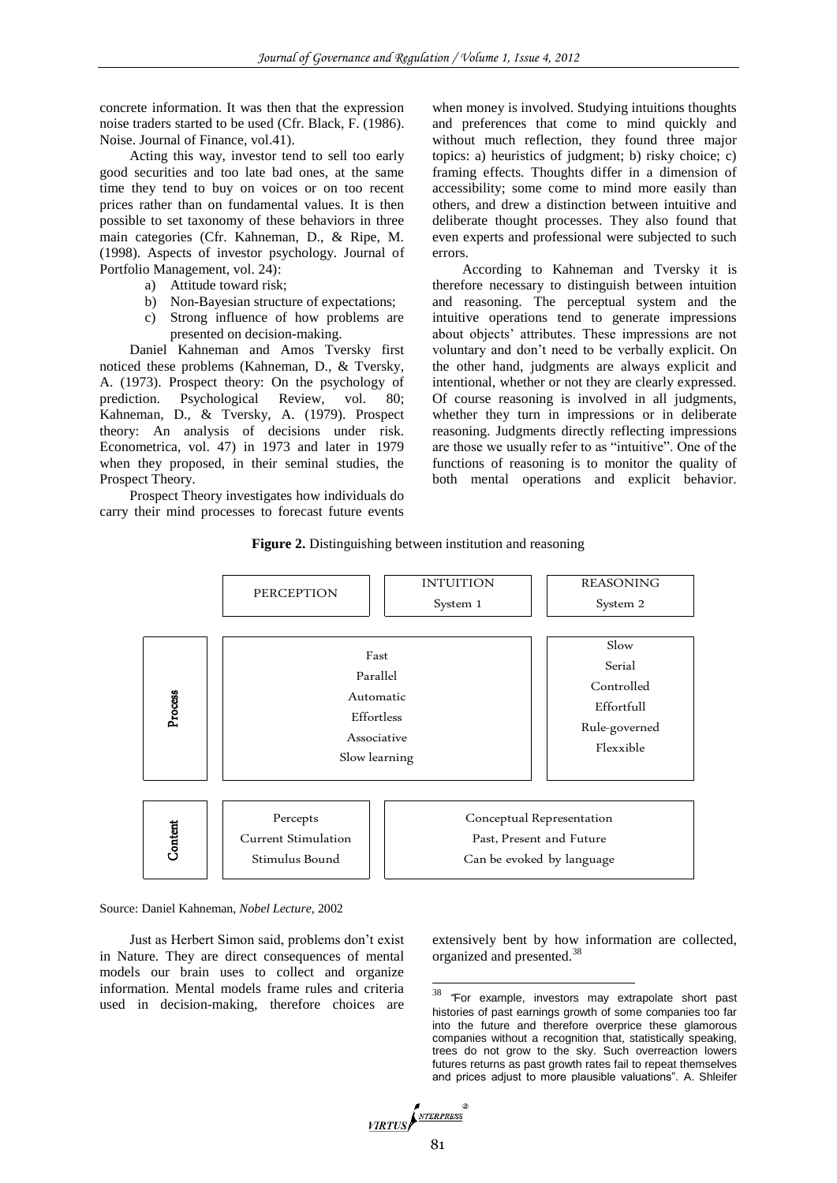concrete information. It was then that the expression noise traders started to be used (Cfr. Black, F. (1986). Noise. Journal of Finance, vol.41).

Acting this way, investor tend to sell too early good securities and too late bad ones, at the same time they tend to buy on voices or on too recent prices rather than on fundamental values. It is then possible to set taxonomy of these behaviors in three main categories (Cfr. Kahneman, D., & Ripe, M. (1998). Aspects of investor psychology. Journal of Portfolio Management, vol. 24):

- a) Attitude toward risk;
- b) Non-Bayesian structure of expectations;
- c) Strong influence of how problems are presented on decision-making.

Daniel Kahneman and Amos Tversky first noticed these problems (Kahneman, D., & Tversky, A. (1973). Prospect theory: On the psychology of prediction. Psychological Review, vol. 80; Kahneman, D., & Tversky, A. (1979). Prospect theory: An analysis of decisions under risk. Econometrica, vol. 47) in 1973 and later in 1979 when they proposed, in their seminal studies, the Prospect Theory.

Prospect Theory investigates how individuals do carry their mind processes to forecast future events

when money is involved. Studying intuitions thoughts and preferences that come to mind quickly and without much reflection, they found three major topics: a) heuristics of judgment; b) risky choice; c) framing effects. Thoughts differ in a dimension of accessibility; some come to mind more easily than others, and drew a distinction between intuitive and deliberate thought processes. They also found that even experts and professional were subjected to such errors.

According to Kahneman and Tversky it is therefore necessary to distinguish between intuition and reasoning. The perceptual system and the intuitive operations tend to generate impressions about objects' attributes. These impressions are not voluntary and don't need to be verbally explicit. On the other hand, judgments are always explicit and intentional, whether or not they are clearly expressed. Of course reasoning is involved in all judgments, whether they turn in impressions or in deliberate reasoning. Judgments directly reflecting impressions are those we usually refer to as "intuitive". One of the functions of reasoning is to monitor the quality of both mental operations and explicit behavior.





Source: Daniel Kahneman, *Nobel Lecture*, 2002

Just as Herbert Simon said, problems don't exist in Nature. They are direct consequences of mental models our brain uses to collect and organize information. Mental models frame rules and criteria used in decision-making, therefore choices are

extensively bent by how information are collected, organized and presented.<sup>38</sup>

38 <sup>38</sup> *"*For example, investors may extrapolate short past histories of past earnings growth of some companies too far into the future and therefore overprice these glamorous companies without a recognition that, statistically speaking, trees do not grow to the sky. Such overreaction lowers futures returns as past growth rates fail to repeat themselves and prices adjust to more plausible valuations". A. Shleifer

$$
\underbrace{\textit{VIRTUS}} \sum_{\textit{NTERPRESS}}
$$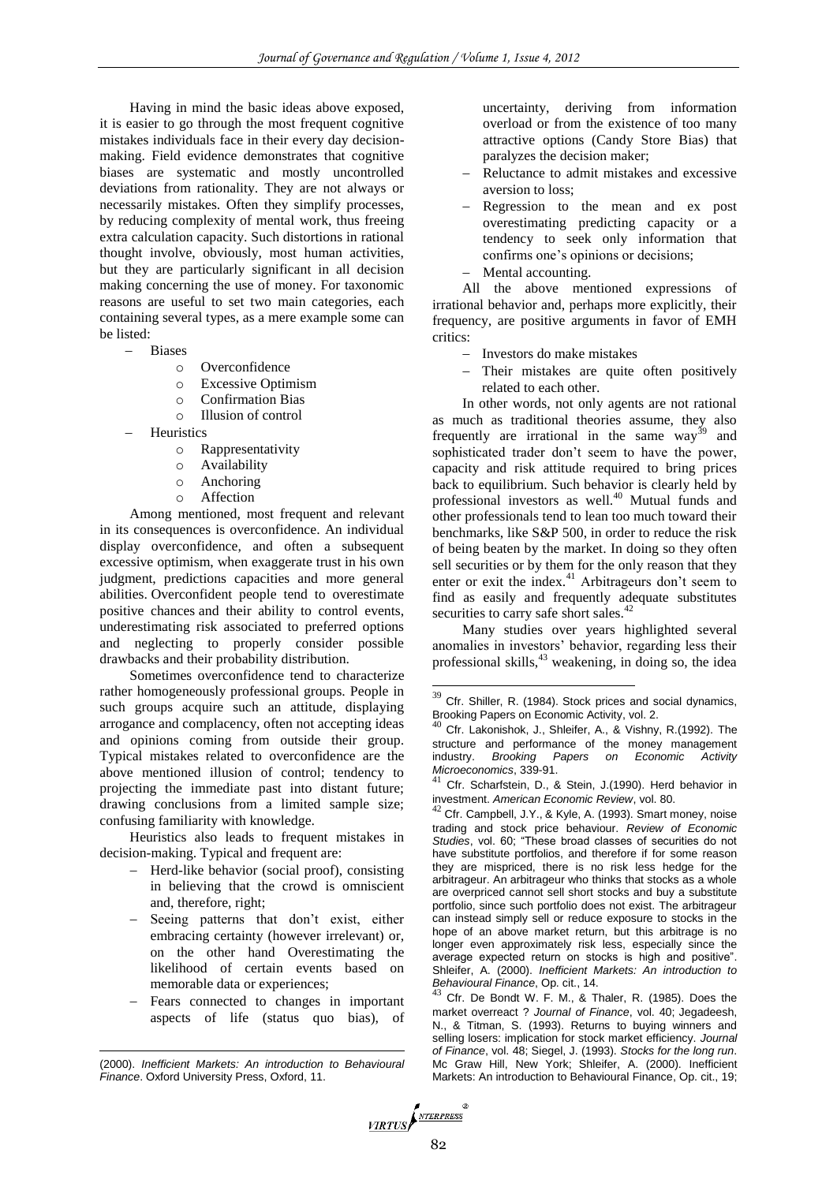Having in mind the basic ideas above exposed, it is easier to go through the most frequent cognitive mistakes individuals face in their every day decisionmaking. Field evidence demonstrates that cognitive biases are systematic and mostly uncontrolled deviations from rationality. They are not always or necessarily mistakes. Often they simplify processes, by reducing complexity of mental work, thus freeing extra calculation capacity. Such distortions in rational thought involve, obviously, most human activities, but they are particularly significant in all decision making concerning the use of money. For taxonomic reasons are useful to set two main categories, each containing several types, as a mere example some can be listed:

- Biases
	- o Overconfidence
	- o Excessive Optimism
	- o Confirmation Bias
	- o Illusion of control
- **Heuristics** 
	- o Rappresentativity
	- o Availability
	- o Anchoring
	- o Affection

Among mentioned, most frequent and relevant in its consequences is overconfidence. An individual display overconfidence, and often a subsequent excessive optimism, when exaggerate trust in his own judgment, predictions capacities and more general abilities. Overconfident people tend to overestimate positive chances and their ability to control events, underestimating risk associated to preferred options and neglecting to properly consider possible drawbacks and their probability distribution.

Sometimes overconfidence tend to characterize rather homogeneously professional groups. People in such groups acquire such an attitude, displaying arrogance and complacency, often not accepting ideas and opinions coming from outside their group. Typical mistakes related to overconfidence are the above mentioned illusion of control; tendency to projecting the immediate past into distant future; drawing conclusions from a limited sample size; confusing familiarity with knowledge.

Heuristics also leads to frequent mistakes in decision-making. Typical and frequent are:

- Herd-like behavior (social proof), consisting in believing that the crowd is omniscient and, therefore, right;
- Seeing patterns that don't exist, either embracing certainty (however irrelevant) or, on the other hand Overestimating the likelihood of certain events based on memorable data or experiences;
- Fears connected to changes in important aspects of life (status quo bias), of

 $\overline{a}$ 

uncertainty, deriving from information overload or from the existence of too many attractive options (Candy Store Bias) that paralyzes the decision maker;

- Reluctance to admit mistakes and excessive aversion to loss;
- Regression to the mean and ex post overestimating predicting capacity or a tendency to seek only information that confirms one's opinions or decisions;
- Mental accounting.

All the above mentioned expressions of irrational behavior and, perhaps more explicitly, their frequency, are positive arguments in favor of EMH critics:

- Investors do make mistakes
- Their mistakes are quite often positively related to each other.

In other words, not only agents are not rational as much as traditional theories assume, they also frequently are irrational in the same  $way^{39}$  and sophisticated trader don't seem to have the power, capacity and risk attitude required to bring prices back to equilibrium. Such behavior is clearly held by professional investors as well.<sup>40</sup> Mutual funds and other professionals tend to lean too much toward their benchmarks, like S&P 500, in order to reduce the risk of being beaten by the market. In doing so they often sell securities or by them for the only reason that they enter or exit the index.<sup>41</sup> Arbitrageurs don't seem to find as easily and frequently adequate substitutes securities to carry safe short sales.<sup>42</sup>

Many studies over years highlighted several anomalies in investors' behavior, regarding less their professional skills,<sup>43</sup> weakening, in doing so, the idea

Cfr. De Bondt W. F. M., & Thaler, R. (1985). Does the market overreact ? *Journal of Finance*, vol. 40; Jegadeesh, N., & Titman, S. (1993). Returns to buying winners and selling losers: implication for stock market efficiency. *Journal of Finance*, vol. 48; Siegel, J. (1993). *Stocks for the long run*. Mc Graw Hill, New York; Shleifer, A. (2000). Inefficient Markets: An introduction to Behavioural Finance, Op. cit., 19;



<sup>(2000).</sup> *Inefficient Markets: An introduction to Behavioural Finance*. Oxford University Press, Oxford, 11.

 $39$  Cfr. Shiller, R. (1984). Stock prices and social dynamics, Brooking Papers on Economic Activity, vol. 2.

 $^{40}$  Cfr. Lakonishok, J., Shleifer, A., & Vishny, R.(1992). The structure and performance of the money management<br>industry. Brooking Papers on Economic Activity industry. *Brooking Papers on Economic Activity Microeconomics*, 339-91.

Cfr. Scharfstein, D., & Stein, J.(1990). Herd behavior in investment. *American Economic Review*, vol. 80.

 $42$  Cfr. Campbell, J.Y., & Kyle, A. (1993). Smart money, noise trading and stock price behaviour. *Review of Economic Studies*, vol. 60; "These broad classes of securities do not have substitute portfolios, and therefore if for some reason they are mispriced, there is no risk less hedge for the arbitrageur. An arbitrageur who thinks that stocks as a whole are overpriced cannot sell short stocks and buy a substitute portfolio, since such portfolio does not exist. The arbitrageur can instead simply sell or reduce exposure to stocks in the hope of an above market return, but this arbitrage is no longer even approximately risk less, especially since the average expected return on stocks is high and positive". Shleifer, A. (2000). *Inefficient Markets: An introduction to Behavioural Finance*, Op. cit., 14.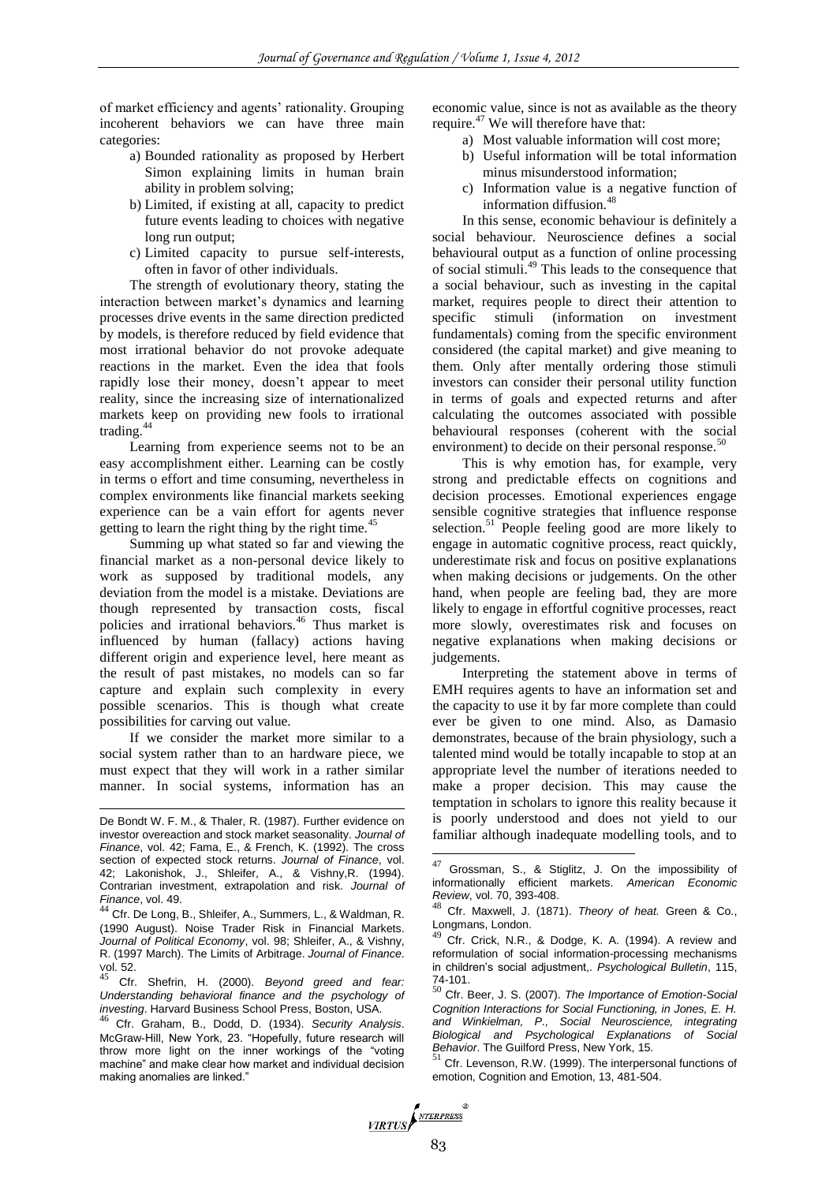of market efficiency and agents' rationality. Grouping incoherent behaviors we can have three main categories:

- a) Bounded rationality as proposed by Herbert Simon explaining limits in human brain ability in problem solving;
- b) Limited, if existing at all, capacity to predict future events leading to choices with negative long run output;
- c) Limited capacity to pursue self-interests, often in favor of other individuals.

The strength of evolutionary theory, stating the interaction between market's dynamics and learning processes drive events in the same direction predicted by models, is therefore reduced by field evidence that most irrational behavior do not provoke adequate reactions in the market. Even the idea that fools rapidly lose their money, doesn't appear to meet reality, since the increasing size of internationalized markets keep on providing new fools to irrational trading.<sup>44</sup>

Learning from experience seems not to be an easy accomplishment either. Learning can be costly in terms o effort and time consuming, nevertheless in complex environments like financial markets seeking experience can be a vain effort for agents never getting to learn the right thing by the right time.<sup>45</sup>

Summing up what stated so far and viewing the financial market as a non-personal device likely to work as supposed by traditional models, any deviation from the model is a mistake. Deviations are though represented by transaction costs, fiscal policies and irrational behaviors.<sup>46</sup> Thus market is influenced by human (fallacy) actions having different origin and experience level, here meant as the result of past mistakes, no models can so far capture and explain such complexity in every possible scenarios. This is though what create possibilities for carving out value.

If we consider the market more similar to a social system rather than to an hardware piece, we must expect that they will work in a rather similar manner. In social systems, information has an

 $\overline{a}$ 

economic value, since is not as available as the theory require.<sup>47</sup> We will therefore have that:

- a) Most valuable information will cost more;
- b) Useful information will be total information minus misunderstood information;
- c) Information value is a negative function of information diffusion.<sup>48</sup>

In this sense, economic behaviour is definitely a social behaviour. Neuroscience defines a social behavioural output as a function of online processing of social stimuli.<sup>49</sup> This leads to the consequence that a social behaviour, such as investing in the capital market, requires people to direct their attention to specific stimuli (information on investment fundamentals) coming from the specific environment considered (the capital market) and give meaning to them. Only after mentally ordering those stimuli investors can consider their personal utility function in terms of goals and expected returns and after calculating the outcomes associated with possible behavioural responses (coherent with the social environment) to decide on their personal response.<sup>50</sup>

This is why emotion has, for example, very strong and predictable effects on cognitions and decision processes. Emotional experiences engage sensible cognitive strategies that influence response selection. $51$  People feeling good are more likely to engage in automatic cognitive process, react quickly, underestimate risk and focus on positive explanations when making decisions or judgements. On the other hand, when people are feeling bad, they are more likely to engage in effortful cognitive processes, react more slowly, overestimates risk and focuses on negative explanations when making decisions or judgements.

Interpreting the statement above in terms of EMH requires agents to have an information set and the capacity to use it by far more complete than could ever be given to one mind. Also, as Damasio demonstrates, because of the brain physiology, such a talented mind would be totally incapable to stop at an appropriate level the number of iterations needed to make a proper decision. This may cause the temptation in scholars to ignore this reality because it is poorly understood and does not yield to our familiar although inadequate modelling tools, and to

 $51$  Cfr. Levenson, R.W. (1999). The interpersonal functions of emotion, Cognition and Emotion, 13, 481-504.



De Bondt W. F. M., & Thaler, R. (1987). Further evidence on investor overeaction and stock market seasonality. *Journal of Finance*, vol. 42; Fama, E., & French, K. (1992). The cross section of expected stock returns. *Journal of Finance*, vol. 42; Lakonishok, J., Shleifer, A., & Vishny,R. (1994). Contrarian investment, extrapolation and risk. *Journal of Finance*, vol. 49.

<sup>44</sup> Cfr. De Long, B., Shleifer, A., Summers, L., & Waldman, R. (1990 August). Noise Trader Risk in Financial Markets. *Journal of Political Economy*, vol. 98; Shleifer, A., & Vishny, R. (1997 March). The Limits of Arbitrage. *Journal of Finance*. Vol. 52.

<sup>45</sup> Cfr. Shefrin, H. (2000). *Beyond greed and fear: Understanding behavioral finance and the psychology of investing*. Harvard Business School Press, Boston, USA.

<sup>46</sup> Cfr. Graham, B., Dodd, D. (1934). *Security Analysis*. McGraw-Hill, New York, 23. "Hopefully, future research will throw more light on the inner workings of the "voting machine" and make clear how market and individual decision making anomalies are linked."

 $47$  Grossman, S., & Stiglitz, J. On the impossibility of informationally efficient markets. *American Economic Review*, vol. 70, 393-408.

<sup>48</sup> Cfr. Maxwell, J. (1871). *Theory of heat.* Green & Co., Longmans, London.

Cfr. Crick, N.R., & Dodge, K. A. (1994). A review and reformulation of social information-processing mechanisms in children's social adjustment,. *Psychological Bulletin*, 115, 74-101.

<sup>50</sup> Cfr. Beer, J. S. (2007). *The Importance of Emotion-Social Cognition Interactions for Social Functioning, in Jones, E. H. and Winkielman, P., Social Neuroscience, integrating Biological and Psychological Explanations of Social Behavior*. The Guilford Press, New York, 15.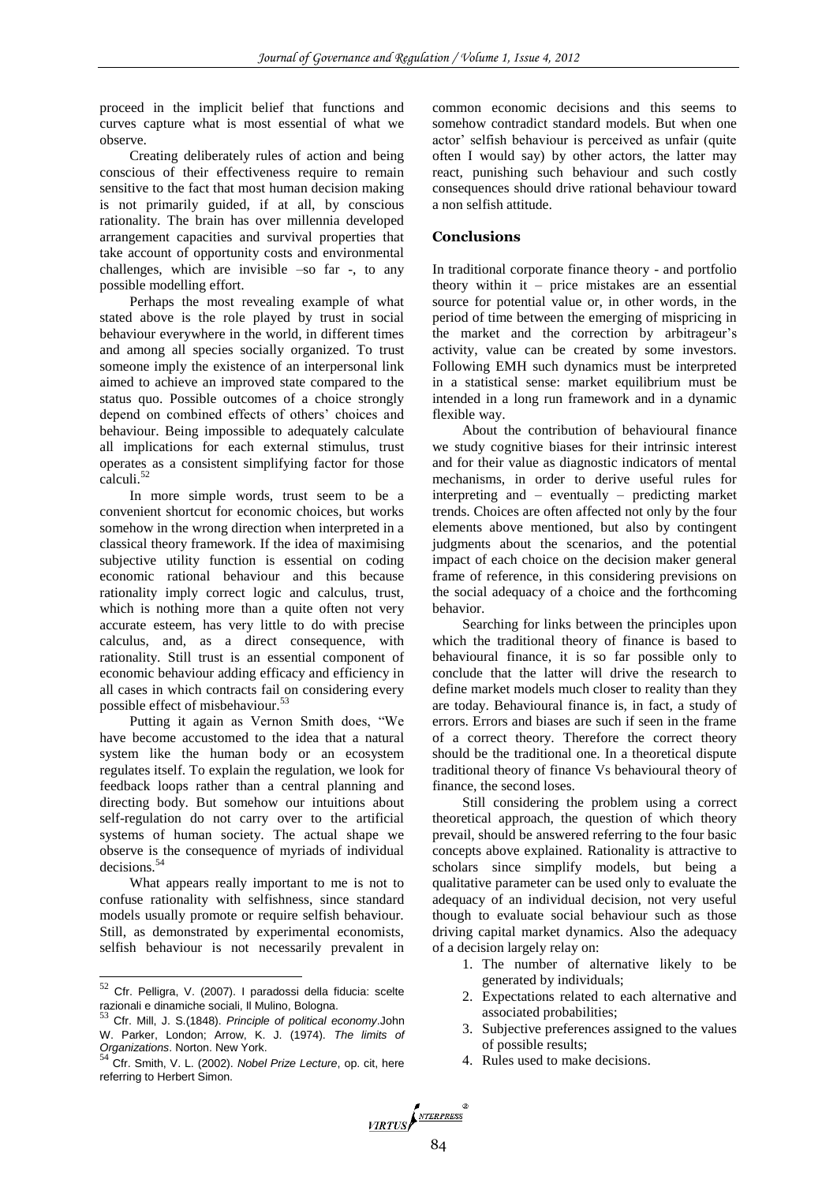proceed in the implicit belief that functions and curves capture what is most essential of what we observe.

Creating deliberately rules of action and being conscious of their effectiveness require to remain sensitive to the fact that most human decision making is not primarily guided, if at all, by conscious rationality. The brain has over millennia developed arrangement capacities and survival properties that take account of opportunity costs and environmental challenges, which are invisible –so far -, to any possible modelling effort.

Perhaps the most revealing example of what stated above is the role played by trust in social behaviour everywhere in the world, in different times and among all species socially organized. To trust someone imply the existence of an interpersonal link aimed to achieve an improved state compared to the status quo. Possible outcomes of a choice strongly depend on combined effects of others' choices and behaviour. Being impossible to adequately calculate all implications for each external stimulus, trust operates as a consistent simplifying factor for those calculi.<sup>52</sup>

In more simple words, trust seem to be a convenient shortcut for economic choices, but works somehow in the wrong direction when interpreted in a classical theory framework. If the idea of maximising subjective utility function is essential on coding economic rational behaviour and this because rationality imply correct logic and calculus, trust, which is nothing more than a quite often not very accurate esteem, has very little to do with precise calculus, and, as a direct consequence, with rationality. Still trust is an essential component of economic behaviour adding efficacy and efficiency in all cases in which contracts fail on considering every possible effect of misbehaviour.<sup>53</sup>

Putting it again as Vernon Smith does, "We have become accustomed to the idea that a natural system like the human body or an ecosystem regulates itself. To explain the regulation, we look for feedback loops rather than a central planning and directing body. But somehow our intuitions about self-regulation do not carry over to the artificial systems of human society. The actual shape we observe is the consequence of myriads of individual decisions.<sup>54</sup>

What appears really important to me is not to confuse rationality with selfishness, since standard models usually promote or require selfish behaviour. Still, as demonstrated by experimental economists, selfish behaviour is not necessarily prevalent in

 $\overline{a}$ 

common economic decisions and this seems to somehow contradict standard models. But when one actor' selfish behaviour is perceived as unfair (quite often I would say) by other actors, the latter may react, punishing such behaviour and such costly consequences should drive rational behaviour toward a non selfish attitude.

# **Conclusions**

In traditional corporate finance theory - and portfolio theory within it – price mistakes are an essential source for potential value or, in other words, in the period of time between the emerging of mispricing in the market and the correction by arbitrageur's activity, value can be created by some investors. Following EMH such dynamics must be interpreted in a statistical sense: market equilibrium must be intended in a long run framework and in a dynamic flexible way.

About the contribution of behavioural finance we study cognitive biases for their intrinsic interest and for their value as diagnostic indicators of mental mechanisms, in order to derive useful rules for interpreting and – eventually – predicting market trends. Choices are often affected not only by the four elements above mentioned, but also by contingent judgments about the scenarios, and the potential impact of each choice on the decision maker general frame of reference, in this considering previsions on the social adequacy of a choice and the forthcoming behavior.

Searching for links between the principles upon which the traditional theory of finance is based to behavioural finance, it is so far possible only to conclude that the latter will drive the research to define market models much closer to reality than they are today. Behavioural finance is, in fact, a study of errors. Errors and biases are such if seen in the frame of a correct theory. Therefore the correct theory should be the traditional one. In a theoretical dispute traditional theory of finance Vs behavioural theory of finance, the second loses.

Still considering the problem using a correct theoretical approach, the question of which theory prevail, should be answered referring to the four basic concepts above explained. Rationality is attractive to scholars since simplify models, but being a qualitative parameter can be used only to evaluate the adequacy of an individual decision, not very useful though to evaluate social behaviour such as those driving capital market dynamics. Also the adequacy of a decision largely relay on:

- 1. The number of alternative likely to be generated by individuals;
- 2. Expectations related to each alternative and associated probabilities;
- 3. Subjective preferences assigned to the values of possible results;
- 4. Rules used to make decisions.

 $52$  Cfr. Pelligra, V. (2007). I paradossi della fiducia: scelte razionali e dinamiche sociali, Il Mulino, Bologna.

<sup>53</sup> Cfr. Mill, J. S.(1848). *Principle of political economy*.John W. Parker, London; Arrow, K. J. (1974). *The limits of* 

*Organizations*. Norton. New York. <sup>54</sup> Cfr. Smith, V. L. (2002). *Nobel Prize Lecture*, op. cit, here referring to Herbert Simon.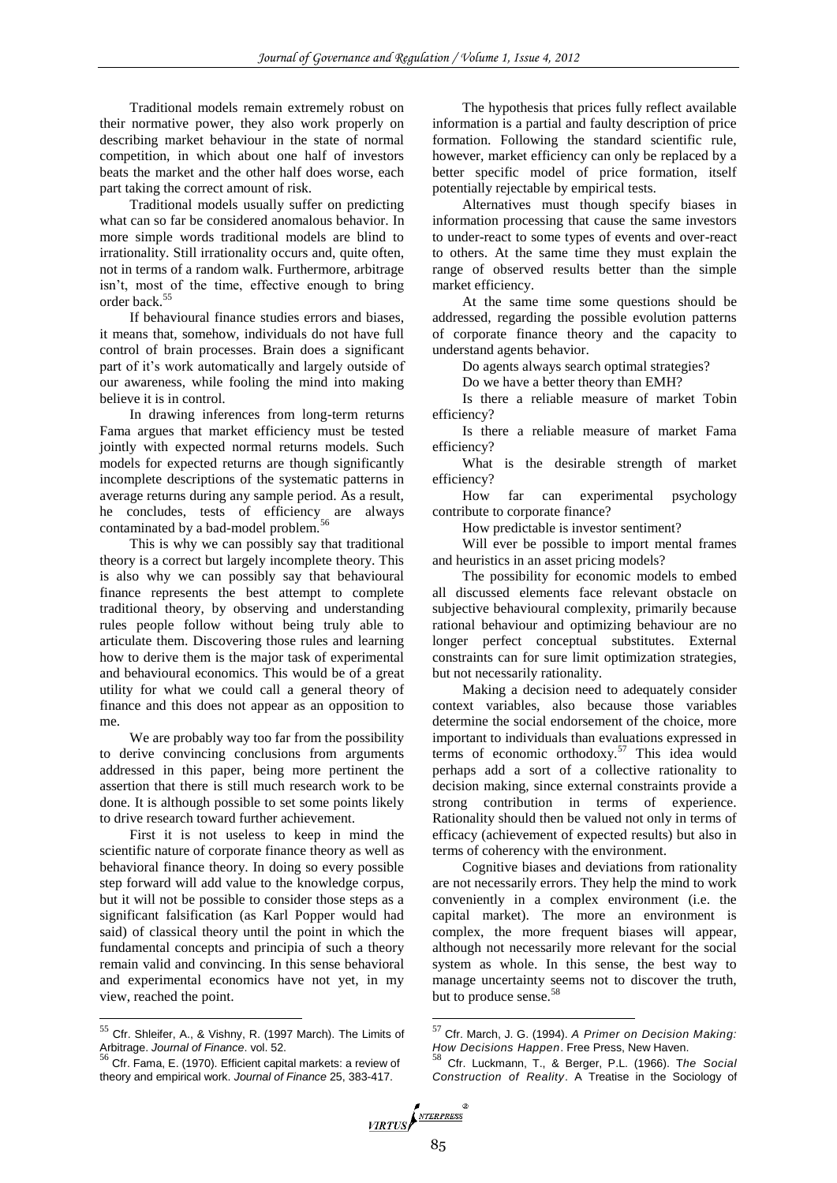Traditional models remain extremely robust on their normative power, they also work properly on describing market behaviour in the state of normal competition, in which about one half of investors beats the market and the other half does worse, each part taking the correct amount of risk.

Traditional models usually suffer on predicting what can so far be considered anomalous behavior. In more simple words traditional models are blind to irrationality. Still irrationality occurs and, quite often, not in terms of a random walk. Furthermore, arbitrage isn't, most of the time, effective enough to bring order back.<sup>55</sup>

If behavioural finance studies errors and biases, it means that, somehow, individuals do not have full control of brain processes. Brain does a significant part of it's work automatically and largely outside of our awareness, while fooling the mind into making believe it is in control.

In drawing inferences from long-term returns Fama argues that market efficiency must be tested jointly with expected normal returns models. Such models for expected returns are though significantly incomplete descriptions of the systematic patterns in average returns during any sample period. As a result, he concludes, tests of efficiency are always contaminated by a bad-model problem.<sup>56</sup>

This is why we can possibly say that traditional theory is a correct but largely incomplete theory. This is also why we can possibly say that behavioural finance represents the best attempt to complete traditional theory, by observing and understanding rules people follow without being truly able to articulate them. Discovering those rules and learning how to derive them is the major task of experimental and behavioural economics. This would be of a great utility for what we could call a general theory of finance and this does not appear as an opposition to me.

We are probably way too far from the possibility to derive convincing conclusions from arguments addressed in this paper, being more pertinent the assertion that there is still much research work to be done. It is although possible to set some points likely to drive research toward further achievement.

First it is not useless to keep in mind the scientific nature of corporate finance theory as well as behavioral finance theory. In doing so every possible step forward will add value to the knowledge corpus, but it will not be possible to consider those steps as a significant falsification (as Karl Popper would had said) of classical theory until the point in which the fundamental concepts and principia of such a theory remain valid and convincing. In this sense behavioral and experimental economics have not yet, in my view, reached the point.

 $\overline{a}$ 

The hypothesis that prices fully reflect available information is a partial and faulty description of price formation. Following the standard scientific rule, however, market efficiency can only be replaced by a better specific model of price formation, itself potentially rejectable by empirical tests.

Alternatives must though specify biases in information processing that cause the same investors to under-react to some types of events and over-react to others. At the same time they must explain the range of observed results better than the simple market efficiency.

At the same time some questions should be addressed, regarding the possible evolution patterns of corporate finance theory and the capacity to understand agents behavior.

Do agents always search optimal strategies?

Do we have a better theory than EMH?

Is there a reliable measure of market Tobin efficiency?

Is there a reliable measure of market Fama efficiency?

What is the desirable strength of market efficiency?

How far can experimental psychology contribute to corporate finance?

How predictable is investor sentiment?

Will ever be possible to import mental frames and heuristics in an asset pricing models?

The possibility for economic models to embed all discussed elements face relevant obstacle on subjective behavioural complexity, primarily because rational behaviour and optimizing behaviour are no longer perfect conceptual substitutes. External constraints can for sure limit optimization strategies, but not necessarily rationality.

Making a decision need to adequately consider context variables, also because those variables determine the social endorsement of the choice, more important to individuals than evaluations expressed in terms of economic orthodoxy.<sup>57</sup> This idea would perhaps add a sort of a collective rationality to decision making, since external constraints provide a strong contribution in terms of experience. Rationality should then be valued not only in terms of efficacy (achievement of expected results) but also in terms of coherency with the environment.

Cognitive biases and deviations from rationality are not necessarily errors. They help the mind to work conveniently in a complex environment (i.e. the capital market). The more an environment is complex, the more frequent biases will appear, although not necessarily more relevant for the social system as whole. In this sense, the best way to manage uncertainty seems not to discover the truth, but to produce sense.<sup>58</sup>

 $55$  Cfr. Shleifer, A., & Vishny, R. (1997 March). The Limits of

Arbitrage. *Journal of Finance*. vol. 52. <sup>56</sup> Cfr. Fama, E. (1970). Efficient capital markets: a review of theory and empirical work. *Journal of Finance* 25, 383-417.

<sup>57</sup> Cfr. March, J. G. (1994). *A Primer on Decision Making:* 

*How Decisions Happen*. Free Press, New Haven. <sup>58</sup> Cfr. Luckmann, T., & Berger, P.L. (1966). T*he Social Construction of Reality*. A Treatise in the Sociology of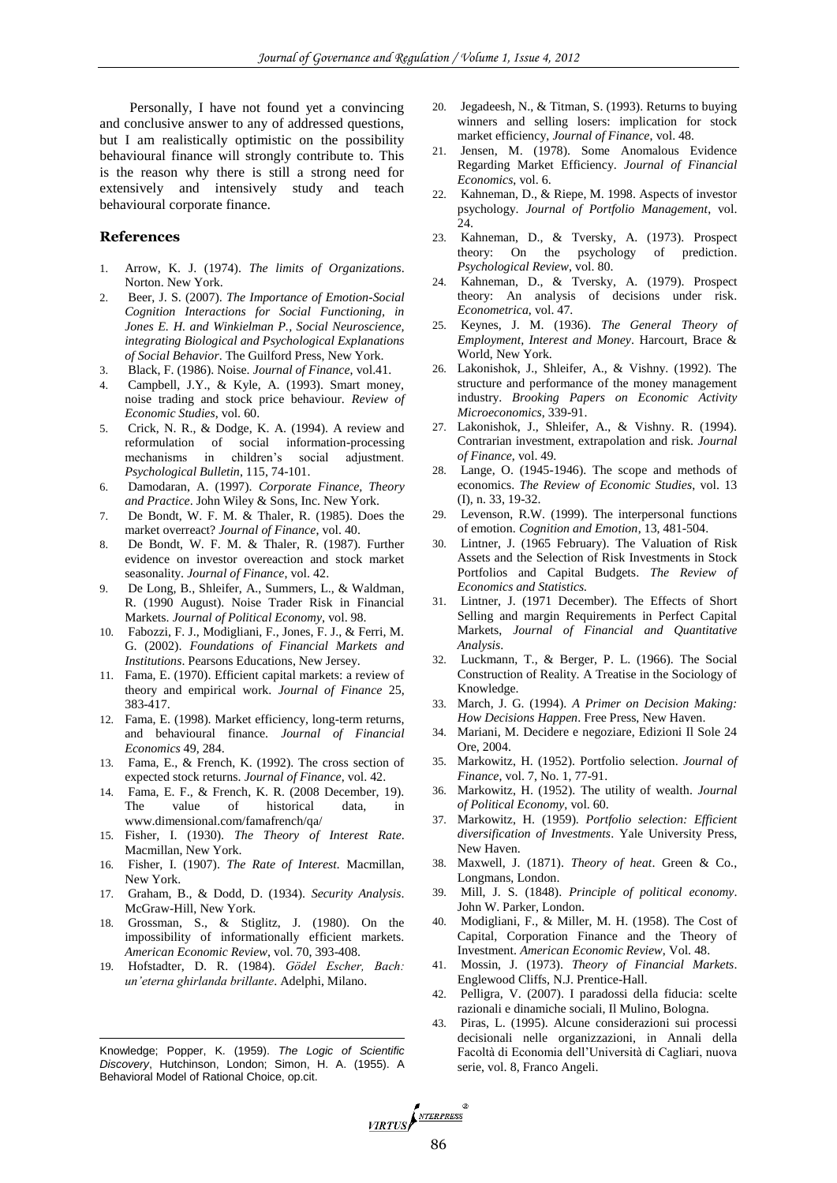Personally, I have not found yet a convincing and conclusive answer to any of addressed questions, but I am realistically optimistic on the possibility behavioural finance will strongly contribute to. This is the reason why there is still a strong need for extensively and intensively study and teach behavioural corporate finance.

## **References**

- 1. Arrow, K. J. (1974). *The limits of Organizations*. Norton. New York.
- 2. Beer, J. S. (2007). *The Importance of Emotion-Social Cognition Interactions for Social Functioning, in Jones E. H. and Winkielman P., Social Neuroscience, integrating Biological and Psychological Explanations of Social Behavior*. The Guilford Press, New York.
- 3. Black, F. (1986). Noise. *Journal of Finance*, vol.41.
- 4. Campbell, J.Y., & Kyle, A. (1993). Smart money, noise trading and stock price behaviour. *Review of Economic Studies*, vol. 60.
- 5. Crick, N. R., & Dodge, K. A. (1994). A review and reformulation of social information-processing mechanisms in children's social adjustment. *Psychological Bulletin*, 115, 74-101.
- 6. Damodaran, A. (1997). *Corporate Finance, Theory and Practice*. John Wiley & Sons, Inc. New York.
- 7. De Bondt, W. F. M. & Thaler, R. (1985). Does the market overreact? *Journal of Finance*, vol. 40.
- 8. De Bondt, W. F. M. & Thaler, R. (1987). Further evidence on investor overeaction and stock market seasonality. *Journal of Finance*, vol. 42.
- 9. De Long, B., Shleifer, A., Summers, L., & Waldman, R. (1990 August). Noise Trader Risk in Financial Markets. *Journal of Political Economy*, vol. 98.
- 10. Fabozzi, F. J., Modigliani, F., Jones, F. J., & Ferri, M. G. (2002). *Foundations of Financial Markets and Institutions*. Pearsons Educations, New Jersey.
- 11. Fama, E. (1970). Efficient capital markets: a review of theory and empirical work. *Journal of Finance* 25, 383-417.
- 12. Fama, E. (1998). Market efficiency, long-term returns, and behavioural finance. *Journal of Financial Economics* 49, 284.
- 13. Fama, E., & French, K. (1992). The cross section of expected stock returns. *Journal of Finance*, vol. 42.
- 14. Fama, E. F., & French, K. R. (2008 December, 19). The value of historical data, in www.dimensional.com/famafrench/qa/
- 15. Fisher, I. (1930). *The Theory of Interest Rate*. Macmillan, New York.
- 16. Fisher, I. (1907). *The Rate of Interest.* Macmillan, New York.
- 17. Graham, B., & Dodd, D. (1934). *Security Analysis*. McGraw-Hill, New York.
- 18. Grossman, S., & Stiglitz, J. (1980). On the impossibility of informationally efficient markets. *American Economic Review*, vol. 70, 393-408.
- 19. Hofstadter, D. R. (1984). *Gödel Escher, Bach: un'eterna ghirlanda brillante*. Adelphi, Milano.

Knowledge; Popper, K. (1959). *The Logic of Scientific Discovery*, Hutchinson, London; Simon, H. A. (1955). A Behavioral Model of Rational Choice, op.cit.

l

- 20. Jegadeesh, N., & Titman, S. (1993). Returns to buying winners and selling losers: implication for stock market efficiency, *Journal of Finance*, vol. 48.
- 21. Jensen, M. (1978). Some Anomalous Evidence Regarding Market Efficiency. *Journal of Financial Economics*, vol. 6.
- 22. Kahneman, D., & Riepe, M. 1998. Aspects of investor psychology. *Journal of Portfolio Management*, vol. 24.
- 23. Kahneman, D., & Tversky, A. (1973). Prospect theory: On the psychology of prediction. *Psychological Review*, vol. 80.
- 24. Kahneman, D., & Tversky, A. (1979). Prospect theory: An analysis of decisions under risk. *Econometrica*, vol. 47.
- 25. Keynes, J. M. (1936). *The General Theory of Employment, Interest and Money*. Harcourt, Brace & World, New York.
- 26. Lakonishok, J., Shleifer, A., & Vishny. (1992). The structure and performance of the money management industry. *Brooking Papers on Economic Activity Microeconomics*, 339-91.
- 27. Lakonishok, J., Shleifer, A., & Vishny. R. (1994). Contrarian investment, extrapolation and risk. *Journal of Finance*, vol. 49.
- 28. Lange, O. (1945-1946). The scope and methods of economics. *The Review of Economic Studies*, vol. 13 (I), n. 33, 19-32.
- 29. Levenson, R.W. (1999). The interpersonal functions of emotion. *Cognition and Emotion*, 13, 481-504.
- 30. Lintner, J. (1965 February). The Valuation of Risk Assets and the Selection of Risk Investments in Stock Portfolios and Capital Budgets. *The Review of Economics and Statistics.*
- 31. Lintner, J. (1971 December). The Effects of Short Selling and margin Requirements in Perfect Capital Markets, *Journal of Financial and Quantitative Analysis*.
- 32. Luckmann, T., & Berger, P. L. (1966). The Social Construction of Reality. A Treatise in the Sociology of Knowledge.
- 33. March, J. G. (1994). *A Primer on Decision Making: How Decisions Happen*. Free Press, New Haven.
- 34. Mariani, M. Decidere e negoziare, Edizioni Il Sole 24 Ore, 2004.
- 35. Markowitz, H. (1952). Portfolio selection. *Journal of Finance*, vol. 7, No. 1, 77-91.
- 36. Markowitz, H. (1952). The utility of wealth. *Journal of Political Economy*, vol. 60.
- 37. Markowitz, H. (1959). *Portfolio selection: Efficient diversification of Investments*. Yale University Press, New Haven.
- 38. Maxwell, J. (1871). *Theory of heat*. Green & Co., Longmans, London.
- 39. Mill, J. S. (1848). *Principle of political economy*. John W. Parker, London.
- 40. Modigliani, F., & Miller, M. H. (1958). The Cost of Capital, Corporation Finance and the Theory of Investment. *American Economic Review*, Vol. 48.
- 41. Mossin, J. (1973). *Theory of Financial Markets*. Englewood Cliffs, N.J. Prentice-Hall.
- 42. Pelligra, V. (2007). I paradossi della fiducia: scelte razionali e dinamiche sociali, Il Mulino, Bologna.
- 43. Piras, L. (1995). Alcune considerazioni sui processi decisionali nelle organizzazioni, in Annali della Facoltà di Economia dell'Università di Cagliari, nuova serie, vol. 8, Franco Angeli.

VIRTUS